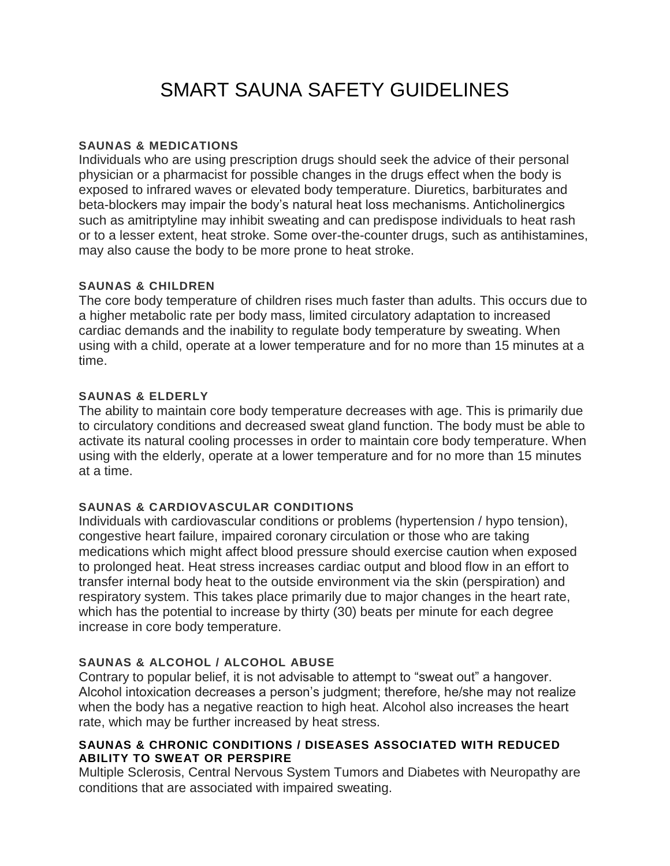# SMART SAUNA SAFETY GUIDELINES

## **SAUNAS & MEDICATIONS**

Individuals who are using prescription drugs should seek the advice of their personal physician or a pharmacist for possible changes in the drugs effect when the body is exposed to infrared waves or elevated body temperature. Diuretics, barbiturates and beta-blockers may impair the body's natural heat loss mechanisms. Anticholinergics such as amitriptyline may inhibit sweating and can predispose individuals to heat rash or to a lesser extent, heat stroke. Some over-the-counter drugs, such as antihistamines, may also cause the body to be more prone to heat stroke.

## **SAUNAS & CHILDREN**

The core body temperature of children rises much faster than adults. This occurs due to a higher metabolic rate per body mass, limited circulatory adaptation to increased cardiac demands and the inability to regulate body temperature by sweating. When using with a child, operate at a lower temperature and for no more than 15 minutes at a time.

## **SAUNAS & ELDERLY**

The ability to maintain core body temperature decreases with age. This is primarily due to circulatory conditions and decreased sweat gland function. The body must be able to activate its natural cooling processes in order to maintain core body temperature. When using with the elderly, operate at a lower temperature and for no more than 15 minutes at a time.

# **SAUNAS & CARDIOVASCULAR CONDITIONS**

Individuals with cardiovascular conditions or problems (hypertension / hypo tension), congestive heart failure, impaired coronary circulation or those who are taking medications which might affect blood pressure should exercise caution when exposed to prolonged heat. Heat stress increases cardiac output and blood flow in an effort to transfer internal body heat to the outside environment via the skin (perspiration) and respiratory system. This takes place primarily due to major changes in the heart rate, which has the potential to increase by thirty (30) beats per minute for each degree increase in core body temperature.

# **SAUNAS & ALCOHOL / ALCOHOL ABUSE**

Contrary to popular belief, it is not advisable to attempt to "sweat out" a hangover. Alcohol intoxication decreases a person's judgment; therefore, he/she may not realize when the body has a negative reaction to high heat. Alcohol also increases the heart rate, which may be further increased by heat stress.

## **SAUNAS & CHRONIC CONDITIONS / DISEASES ASSOCIATED WITH REDUCED ABILITY TO SWEAT OR PERSPIRE**

Multiple Sclerosis, Central Nervous System Tumors and Diabetes with Neuropathy are conditions that are associated with impaired sweating.